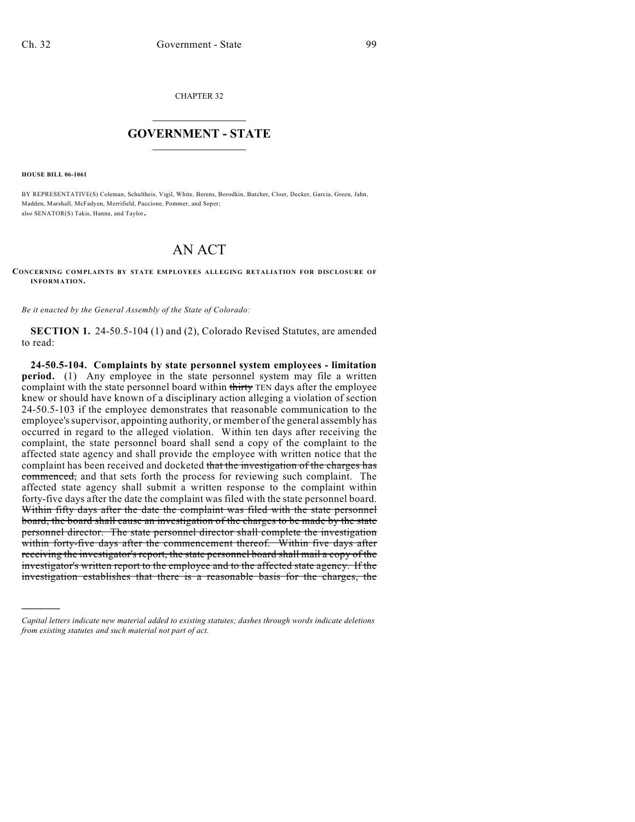CHAPTER 32

## $\mathcal{L}_\text{max}$  . The set of the set of the set of the set of the set of the set of the set of the set of the set of the set of the set of the set of the set of the set of the set of the set of the set of the set of the set **GOVERNMENT - STATE**  $\_$   $\_$

**HOUSE BILL 06-1061**

)))))

BY REPRESENTATIVE(S) Coleman, Schultheis, Vigil, White, Berens, Borodkin, Butcher, Cloer, Decker, Garcia, Green, Jahn, Madden, Marshall, McFadyen, Merrifield, Paccione, Pommer, and Soper; also SENATOR(S) Takis, Hanna, and Taylor.

## AN ACT

**CONCERNING COMPLAINTS BY STATE EMPLOYEES ALLEGING RETALIATION FOR DISCLOSURE OF INFORMATION.**

*Be it enacted by the General Assembly of the State of Colorado:*

**SECTION 1.** 24-50.5-104 (1) and (2), Colorado Revised Statutes, are amended to read:

**24-50.5-104. Complaints by state personnel system employees - limitation period.** (1) Any employee in the state personnel system may file a written complaint with the state personnel board within thirty TEN days after the employee knew or should have known of a disciplinary action alleging a violation of section 24-50.5-103 if the employee demonstrates that reasonable communication to the employee's supervisor, appointing authority, or member of the general assembly has occurred in regard to the alleged violation. Within ten days after receiving the complaint, the state personnel board shall send a copy of the complaint to the affected state agency and shall provide the employee with written notice that the complaint has been received and docketed that the investigation of the charges has commenced, and that sets forth the process for reviewing such complaint. The affected state agency shall submit a written response to the complaint within forty-five days after the date the complaint was filed with the state personnel board. Within fifty days after the date the complaint was filed with the state personnel board, the board shall cause an investigation of the charges to be made by the state personnel director. The state personnel director shall complete the investigation within forty-five days after the commencement thereof. Within five days after receiving the investigator's report, the state personnel board shall mail a copy of the investigator's written report to the employee and to the affected state agency. If the investigation establishes that there is a reasonable basis for the charges, the

*Capital letters indicate new material added to existing statutes; dashes through words indicate deletions from existing statutes and such material not part of act.*